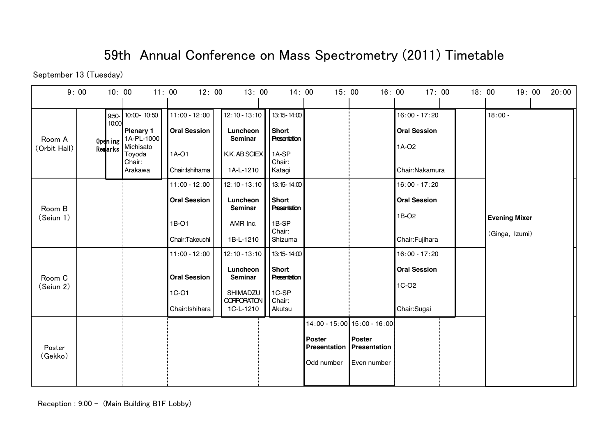## 59th Annual Conference on Mass Spectrometry (2011) Timetable

September 13 (Tuesday)

|                        | 9:00 |                                         | 10:00                                                                          | 11:00<br>12:00                                  |  | 13:00                                                   |           | 14:00                                                   | 15:00                         | 16:00                         | 17:00                                           | 18:00 | 19:00<br>20:00       |
|------------------------|------|-----------------------------------------|--------------------------------------------------------------------------------|-------------------------------------------------|--|---------------------------------------------------------|-----------|---------------------------------------------------------|-------------------------------|-------------------------------|-------------------------------------------------|-------|----------------------|
| Room A<br>(Orbit Hall) |      | $9:50 -$<br>10:00<br>Opdning<br>Remarks | 10:00-10:50<br><b>Plenary 1</b><br>1A-PL-1000<br>Michisato<br>Toyoda<br>Chair: | $11:00 - 12:00$<br><b>Oral Session</b><br>1A-01 |  | $12:10 - 13:10$<br>Luncheon<br>Seminar<br>K.K. AB SCIEX |           | 13:15-14:00<br>Short<br>Presentation<br>1A-SP<br>Chair: |                               |                               | $16:00 - 17:20$<br><b>Oral Session</b><br>1A-02 |       | $18:00 -$            |
|                        |      |                                         | Arakawa                                                                        | Chair: Ishihama                                 |  |                                                         | 1A-L-1210 | Katagi                                                  |                               |                               | Chair:Nakamura                                  |       |                      |
|                        |      |                                         |                                                                                | $11:00 - 12:00$                                 |  | $12:10 - 13:10$                                         |           | $13:15 - 14:00$                                         |                               |                               | $16:00 - 17:20$                                 |       |                      |
| Room B                 |      |                                         |                                                                                | <b>Oral Session</b>                             |  | Luncheon<br>Seminar                                     |           | Short<br>Presentation                                   |                               |                               | <b>Oral Session</b>                             |       |                      |
| (Seiun 1)              |      |                                         |                                                                                | 1B-01                                           |  | AMR Inc.                                                |           | 1B-SP                                                   |                               |                               | 1B-02                                           |       | <b>Evening Mixer</b> |
|                        |      |                                         |                                                                                | Chair:Takeuchi                                  |  | 1B-L-1210                                               |           | Chair:<br>Shizuma                                       |                               |                               | Chair:Fujihara                                  |       | (Ginga, Izumi)       |
|                        |      |                                         |                                                                                | $11:00 - 12:00$                                 |  | $12:10 - 13:10$                                         |           | $13:15 - 14:00$                                         |                               |                               | $16:00 - 17:20$                                 |       |                      |
| Room C                 |      |                                         |                                                                                | <b>Oral Session</b>                             |  | Luncheon<br>Seminar                                     |           | Short<br>Presentation                                   |                               |                               | <b>Oral Session</b>                             |       |                      |
| (Seiun 2)              |      |                                         |                                                                                | $1C-O1$                                         |  | SHIMADZU                                                |           | 1C-SP                                                   |                               |                               | 1C-O <sub>2</sub>                               |       |                      |
|                        |      |                                         |                                                                                | Chair: Ishihara                                 |  | <b>CORPORATION</b><br>1C-L-1210                         |           | Chair:<br>Akutsu                                        |                               |                               | Chair:Sugai                                     |       |                      |
| Poster<br>(Gekko)      |      |                                         |                                                                                |                                                 |  |                                                         |           |                                                         |                               | 14:00 - 15:00 15:00 - 16:00   |                                                 |       |                      |
|                        |      |                                         |                                                                                |                                                 |  |                                                         |           |                                                         | <b>Poster</b><br>Presentation | Poster<br><b>Presentation</b> |                                                 |       |                      |
|                        |      |                                         |                                                                                |                                                 |  |                                                         |           |                                                         | Odd number                    | Even number                   |                                                 |       |                      |
|                        |      |                                         |                                                                                |                                                 |  |                                                         |           |                                                         |                               |                               |                                                 |       |                      |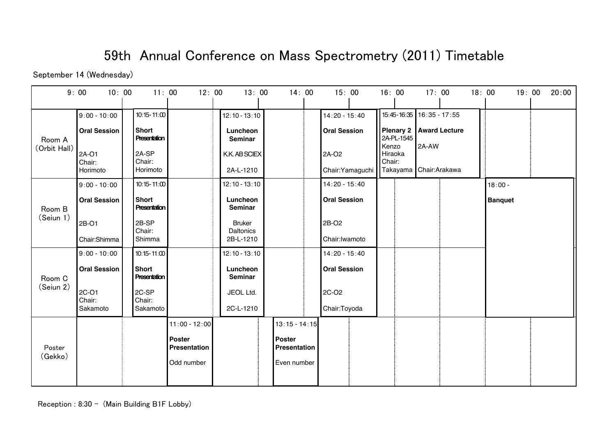## 59th Annual Conference on Mass Spectrometry (2011) Timetable

September 14 (Wednesday)

| 9:00                   | 10:00                                          | 11:00                                                           | 12:00                         | 13:00                                                   |  | 14:00                         | 15:00                                           |        | 16:00                                     | 17:00                              |                      | 18:00 |                | 19:00 | 20:00 |
|------------------------|------------------------------------------------|-----------------------------------------------------------------|-------------------------------|---------------------------------------------------------|--|-------------------------------|-------------------------------------------------|--------|-------------------------------------------|------------------------------------|----------------------|-------|----------------|-------|-------|
| Room A<br>(Orbit Hall) | $9:00 - 10:00$<br><b>Oral Session</b><br>2A-01 | $10:15 - 11:00$<br><b>Short</b><br><b>Presentation</b><br>2A-SP |                               | $12:10 - 13:10$<br>Luncheon<br>Seminar<br>K.K. AB SCIEX |  |                               | $14:20 - 15:40$<br><b>Oral Session</b><br>2A-O2 | Kenzo  | <b>Plenary 2</b><br>2A-PL-1545<br>Hiraoka | 15:45-16:35 16:35 - 17:55<br>2A-AW | <b>Award Lecture</b> |       |                |       |       |
|                        | Chair:<br>Horimoto                             | Chair:<br>Horimoto                                              |                               | 2A-L-1210                                               |  |                               | Chair: Yamaguchi                                | Chair: |                                           | Takayama Chair:Arakawa             |                      |       |                |       |       |
|                        | $9:00 - 10:00$                                 | $10:15 - 11:00$                                                 |                               | $12:10 - 13:10$                                         |  |                               | $14:20 - 15:40$                                 |        |                                           |                                    |                      |       | $18:00 -$      |       |       |
| Room B                 | <b>Oral Session</b>                            | <b>Short</b><br><b>Presentation</b>                             |                               | Luncheon<br><b>Seminar</b>                              |  |                               | <b>Oral Session</b>                             |        |                                           |                                    |                      |       | <b>Banquet</b> |       |       |
| (Seiun 1)              | 2B-01                                          | 2B-SP<br>Chair:                                                 |                               | <b>Bruker</b><br><b>Daltonics</b>                       |  |                               | 2B-02                                           |        |                                           |                                    |                      |       |                |       |       |
|                        | Chair:Shimma                                   | Shimma                                                          |                               | 2B-L-1210                                               |  |                               | Chair: Iwamoto                                  |        |                                           |                                    |                      |       |                |       |       |
|                        | $9:00 - 10:00$                                 | $10:15 - 11:00$                                                 |                               | $12:10 - 13:10$                                         |  |                               | $14:20 - 15:40$                                 |        |                                           |                                    |                      |       |                |       |       |
| Room C                 | <b>Oral Session</b>                            | <b>Short</b><br>Presentation                                    |                               | Luncheon<br>Seminar                                     |  |                               | <b>Oral Session</b>                             |        |                                           |                                    |                      |       |                |       |       |
| (Seiun 2)              | 2C-O1<br>Chair:                                | 2C-SP<br>Chair:                                                 |                               | JEOL Ltd.                                               |  |                               | 2C-O <sub>2</sub>                               |        |                                           |                                    |                      |       |                |       |       |
|                        | Sakamoto                                       | Sakamoto                                                        |                               | 2C-L-1210                                               |  |                               | Chair:Toyoda                                    |        |                                           |                                    |                      |       |                |       |       |
|                        |                                                |                                                                 | $11:00 - 12:00$               |                                                         |  | $13:15 - 14:15$               |                                                 |        |                                           |                                    |                      |       |                |       |       |
| Poster                 |                                                |                                                                 | <b>Poster</b><br>Presentation |                                                         |  | <b>Poster</b><br>Presentation |                                                 |        |                                           |                                    |                      |       |                |       |       |
| (Gekko)                |                                                |                                                                 | Odd number                    |                                                         |  | Even number                   |                                                 |        |                                           |                                    |                      |       |                |       |       |